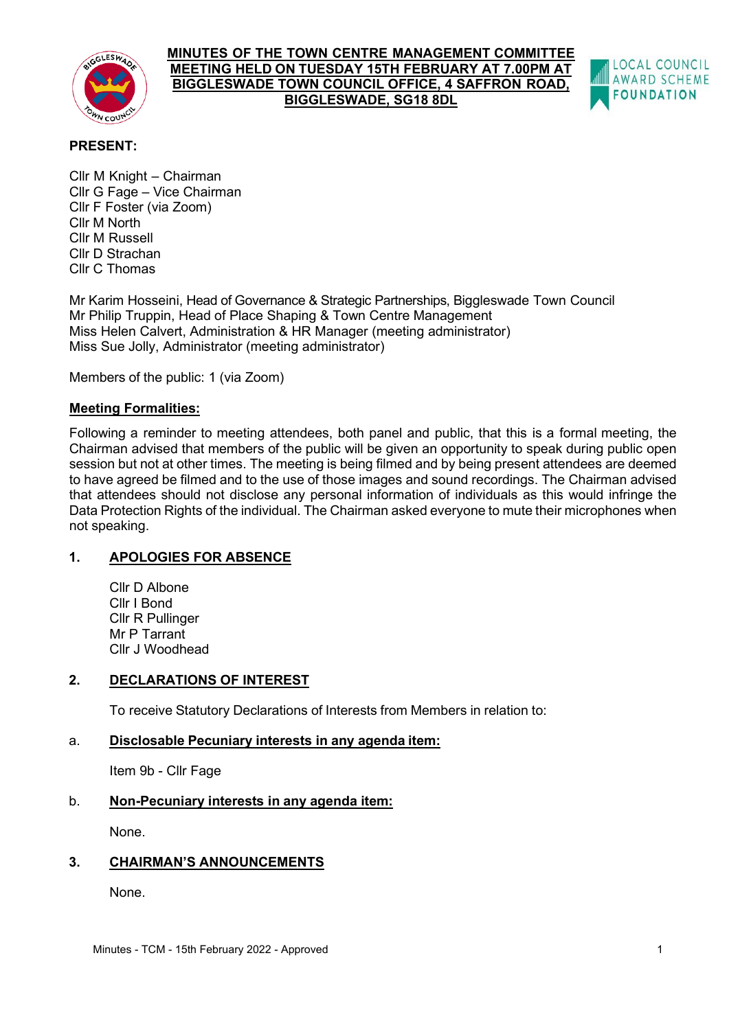

### **MINUTES OF THE TOWN CENTRE MANAGEMENT COMMITTEE MEETING HELD ON TUESDAY 15TH FEBRUARY AT 7.00PM AT BIGGLESWADE TOWN COUNCIL OFFICE, 4 SAFFRON ROAD, BIGGLESWADE, SG18 8DL**



# **PRESENT:**

Cllr M Knight – Chairman Cllr G Fage – Vice Chairman Cllr F Foster (via Zoom) Cllr M North Cllr M Russell Cllr D Strachan Cllr C Thomas

Mr Karim Hosseini, Head of Governance & Strategic Partnerships, Biggleswade Town Council Mr Philip Truppin, Head of Place Shaping & Town Centre Management Miss Helen Calvert, Administration & HR Manager (meeting administrator) Miss Sue Jolly, Administrator (meeting administrator)

Members of the public: 1 (via Zoom)

# **Meeting Formalities:**

Following a reminder to meeting attendees, both panel and public, that this is a formal meeting, the Chairman advised that members of the public will be given an opportunity to speak during public open session but not at other times. The meeting is being filmed and by being present attendees are deemed to have agreed be filmed and to the use of those images and sound recordings. The Chairman advised that attendees should not disclose any personal information of individuals as this would infringe the Data Protection Rights of the individual. The Chairman asked everyone to mute their microphones when not speaking.

# **1. APOLOGIES FOR ABSENCE**

Cllr D Albone Cllr I Bond Cllr R Pullinger Mr P Tarrant Cllr J Woodhead

# **2. DECLARATIONS OF INTEREST**

To receive Statutory Declarations of Interests from Members in relation to:

# a. **Disclosable Pecuniary interests in any agenda item:**

Item 9b - Cllr Fage

# b. **Non-Pecuniary interests in any agenda item:**

None.

# **3. CHAIRMAN'S ANNOUNCEMENTS**

None.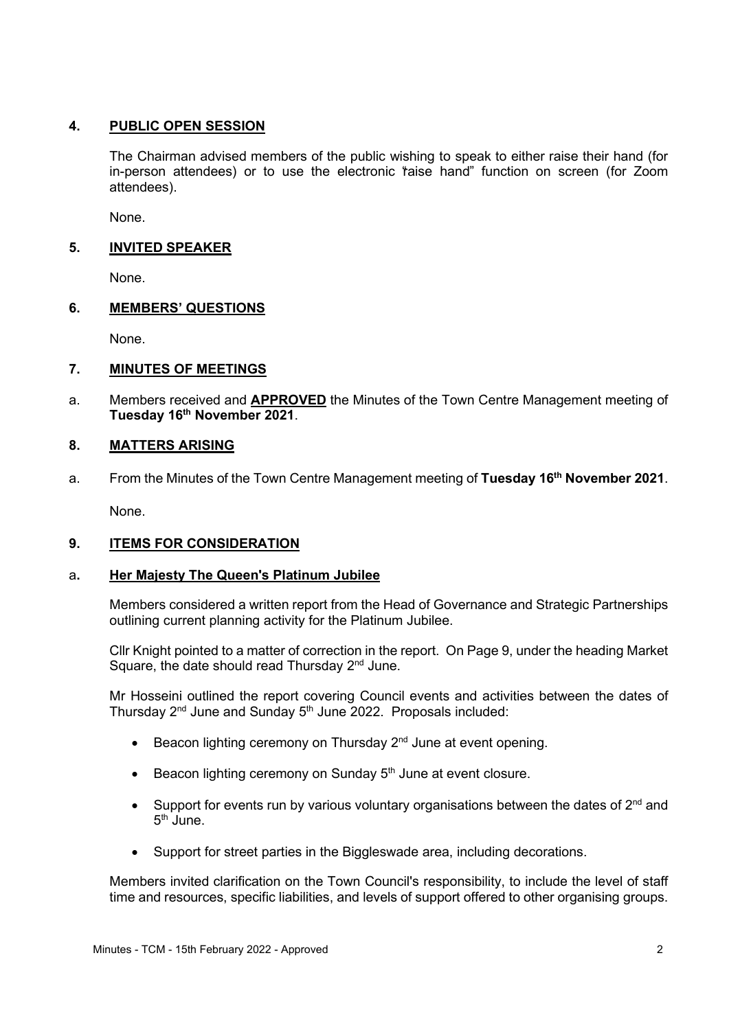# **4. PUBLIC OPEN SESSION**

The Chairman advised members of the public wishing to speak to either raise their hand (for in-person attendees) or to use the electronic 'raise hand' function on screen (for Zoom attendees).

None.

# **5. INVITED SPEAKER**

None.

# **6. MEMBERS' QUESTIONS**

None.

# **7. MINUTES OF MEETINGS**

a. Members received and **APPROVED** the Minutes of the Town Centre Management meeting of **Tuesday 16th November 2021**.

# **8. MATTERS ARISING**

a. From the Minutes of the Town Centre Management meeting of **Tuesday 16th November 2021**.

None.

# **9. ITEMS FOR CONSIDERATION**

# a**. Her Majesty The Queen's Platinum Jubilee**

Members considered a written report from the Head of Governance and Strategic Partnerships outlining current planning activity for the Platinum Jubilee.

Cllr Knight pointed to a matter of correction in the report. On Page 9, under the heading Market Square, the date should read Thursday  $2<sup>nd</sup>$  June.

Mr Hosseini outlined the report covering Council events and activities between the dates of Thursday  $2^{nd}$  June and Sunday  $5^{th}$  June 2022. Proposals included:

- Beacon lighting ceremony on Thursday 2<sup>nd</sup> June at event opening.
- Beacon lighting ceremony on Sunday  $5<sup>th</sup>$  June at event closure.
- Support for events run by various voluntary organisations between the dates of  $2<sup>nd</sup>$  and 5<sup>th</sup> June.
- Support for street parties in the Biggleswade area, including decorations.

Members invited clarification on the Town Council's responsibility, to include the level of staff time and resources, specific liabilities, and levels of support offered to other organising groups.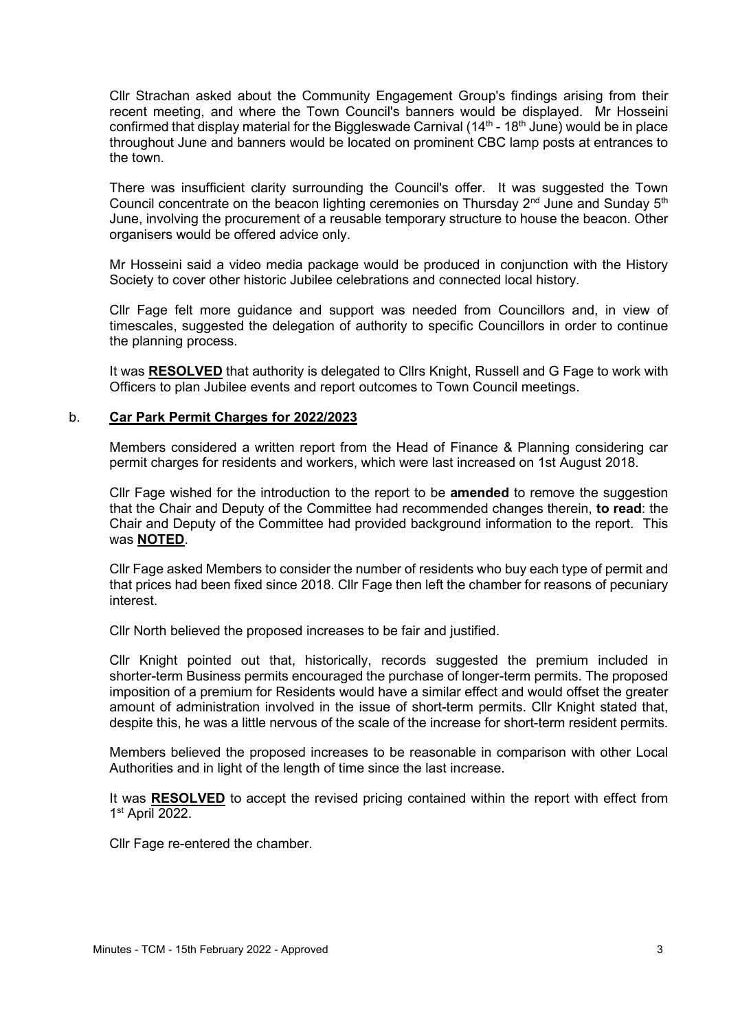Cllr Strachan asked about the Community Engagement Group's findings arising from their recent meeting, and where the Town Council's banners would be displayed. Mr Hosseini confirmed that display material for the Biggleswade Carnival ( $14<sup>th</sup>$  -  $18<sup>th</sup>$  June) would be in place throughout June and banners would be located on prominent CBC lamp posts at entrances to the town.

There was insufficient clarity surrounding the Council's offer. It was suggested the Town Council concentrate on the beacon lighting ceremonies on Thursday  $2<sup>nd</sup>$  June and Sunday  $5<sup>th</sup>$ June, involving the procurement of a reusable temporary structure to house the beacon. Other organisers would be offered advice only.

Mr Hosseini said a video media package would be produced in conjunction with the History Society to cover other historic Jubilee celebrations and connected local history.

Cllr Fage felt more guidance and support was needed from Councillors and, in view of timescales, suggested the delegation of authority to specific Councillors in order to continue the planning process.

It was **RESOLVED** that authority is delegated to Cllrs Knight, Russell and G Fage to work with Officers to plan Jubilee events and report outcomes to Town Council meetings.

#### b. **Car Park Permit Charges for 2022/2023**

Members considered a written report from the Head of Finance & Planning considering car permit charges for residents and workers, which were last increased on 1st August 2018.

Cllr Fage wished for the introduction to the report to be **amended** to remove the suggestion that the Chair and Deputy of the Committee had recommended changes therein, **to read**: the Chair and Deputy of the Committee had provided background information to the report. This was **NOTED**.

Cllr Fage asked Members to consider the number of residents who buy each type of permit and that prices had been fixed since 2018. Cllr Fage then left the chamber for reasons of pecuniary interest.

Cllr North believed the proposed increases to be fair and justified.

Cllr Knight pointed out that, historically, records suggested the premium included in shorter-term Business permits encouraged the purchase of longer-term permits. The proposed imposition of a premium for Residents would have a similar effect and would offset the greater amount of administration involved in the issue of short-term permits. Cllr Knight stated that, despite this, he was a little nervous of the scale of the increase for short-term resident permits.

Members believed the proposed increases to be reasonable in comparison with other Local Authorities and in light of the length of time since the last increase.

It was **RESOLVED** to accept the revised pricing contained within the report with effect from 1<sup>st</sup> April 2022.

Cllr Fage re-entered the chamber.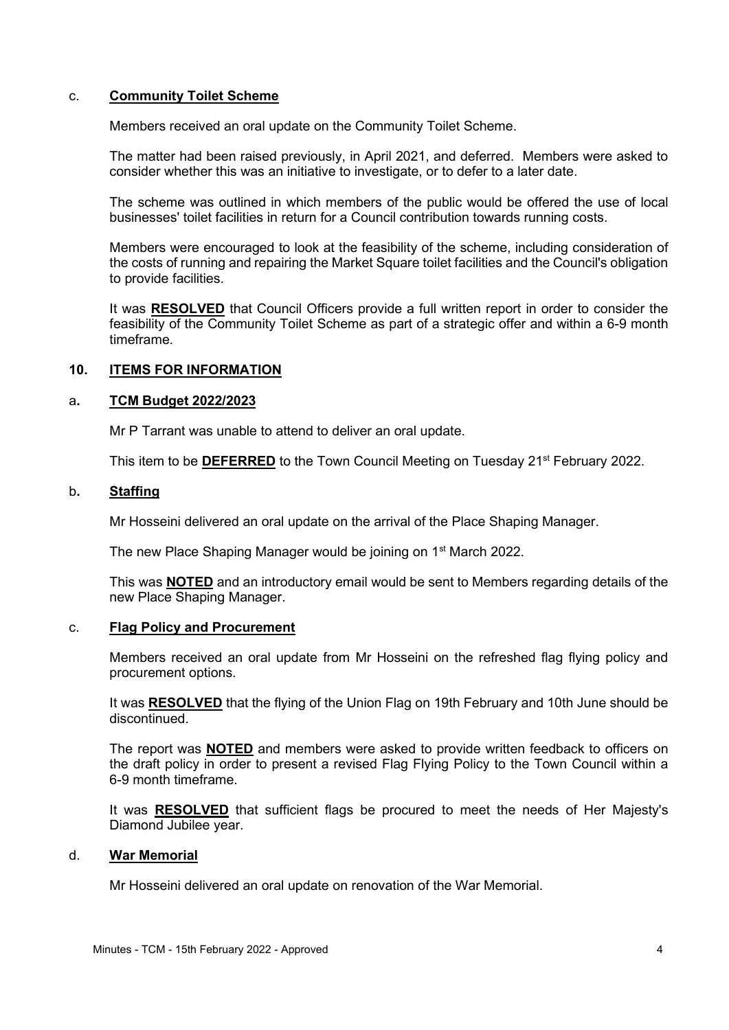### c. **Community Toilet Scheme**

Members received an oral update on the Community Toilet Scheme.

The matter had been raised previously, in April 2021, and deferred. Members were asked to consider whether this was an initiative to investigate, or to defer to a later date.

The scheme was outlined in which members of the public would be offered the use of local businesses' toilet facilities in return for a Council contribution towards running costs.

Members were encouraged to look at the feasibility of the scheme, including consideration of the costs of running and repairing the Market Square toilet facilities and the Council's obligation to provide facilities.

It was **RESOLVED** that Council Officers provide a full written report in order to consider the feasibility of the Community Toilet Scheme as part of a strategic offer and within a 6-9 month timeframe.

# **10. ITEMS FOR INFORMATION**

### a**. TCM Budget 2022/2023**

Mr P Tarrant was unable to attend to deliver an oral update.

This item to be DEFERRED to the Town Council Meeting on Tuesday 21<sup>st</sup> February 2022.

#### b**. Staffing**

Mr Hosseini delivered an oral update on the arrival of the Place Shaping Manager.

The new Place Shaping Manager would be joining on 1<sup>st</sup> March 2022.

This was **NOTED** and an introductory email would be sent to Members regarding details of the new Place Shaping Manager.

### c. **Flag Policy and Procurement**

Members received an oral update from Mr Hosseini on the refreshed flag flying policy and procurement options.

It was **RESOLVED** that the flying of the Union Flag on 19th February and 10th June should be discontinued

The report was **NOTED** and members were asked to provide written feedback to officers on the draft policy in order to present a revised Flag Flying Policy to the Town Council within a 6-9 month timeframe.

It was **RESOLVED** that sufficient flags be procured to meet the needs of Her Majesty's Diamond Jubilee year.

#### d. **War Memorial**

Mr Hosseini delivered an oral update on renovation of the War Memorial.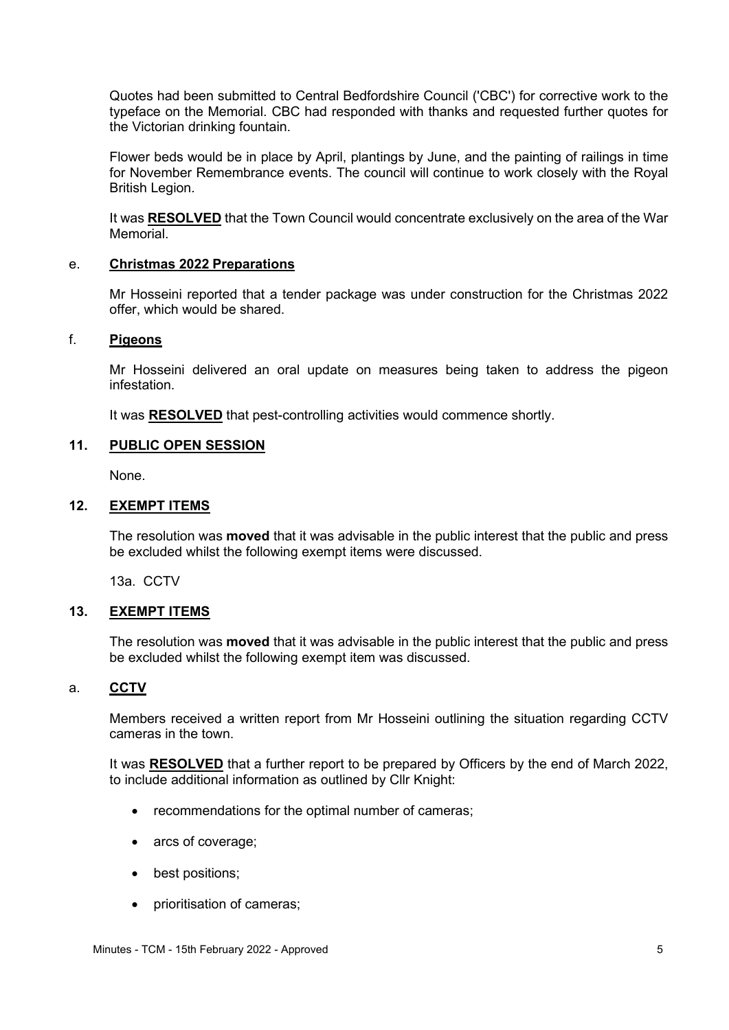Quotes had been submitted to Central Bedfordshire Council ('CBC') for corrective work to the typeface on the Memorial. CBC had responded with thanks and requested further quotes for the Victorian drinking fountain.

Flower beds would be in place by April, plantings by June, and the painting of railings in time for November Remembrance events. The council will continue to work closely with the Royal British Legion.

It was **RESOLVED** that the Town Council would concentrate exclusively on the area of the War Memorial.

### e. **Christmas 2022 Preparations**

Mr Hosseini reported that a tender package was under construction for the Christmas 2022 offer, which would be shared.

### f. **Pigeons**

Mr Hosseini delivered an oral update on measures being taken to address the pigeon infestation.

It was **RESOLVED** that pest-controlling activities would commence shortly.

# **11. PUBLIC OPEN SESSION**

None.

# **12. EXEMPT ITEMS**

The resolution was **moved** that it was advisable in the public interest that the public and press be excluded whilst the following exempt items were discussed.

13a. CCTV

### **13. EXEMPT ITEMS**

The resolution was **moved** that it was advisable in the public interest that the public and press be excluded whilst the following exempt item was discussed.

### a. **CCTV**

Members received a written report from Mr Hosseini outlining the situation regarding CCTV cameras in the town.

It was **RESOLVED** that a further report to be prepared by Officers by the end of March 2022, to include additional information as outlined by Cllr Knight:

- recommendations for the optimal number of cameras;
- arcs of coverage;
- best positions;
- prioritisation of cameras;